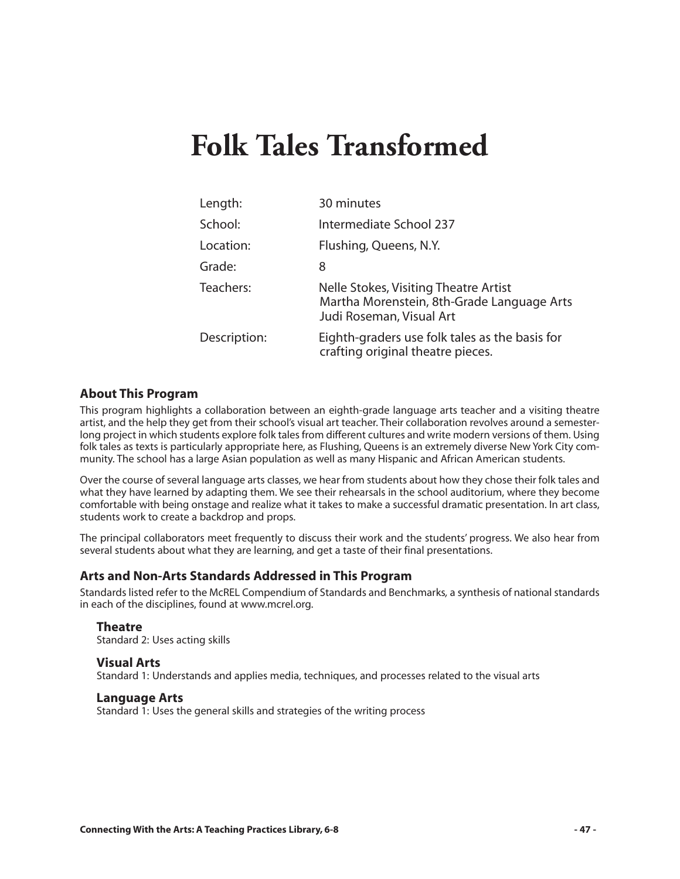# **Folk Tales Transformed**

| Length:      | 30 minutes                                                                                                      |
|--------------|-----------------------------------------------------------------------------------------------------------------|
| School:      | Intermediate School 237                                                                                         |
| Location:    | Flushing, Queens, N.Y.                                                                                          |
| Grade:       | 8                                                                                                               |
| Teachers:    | Nelle Stokes, Visiting Theatre Artist<br>Martha Morenstein, 8th-Grade Language Arts<br>Judi Roseman, Visual Art |
| Description: | Eighth-graders use folk tales as the basis for<br>crafting original theatre pieces.                             |

#### **About This Program**

This program highlights a collaboration between an eighth-grade language arts teacher and a visiting theatre artist, and the help they get from their school's visual art teacher. Their collaboration revolves around a semesterlong project in which students explore folk tales from different cultures and write modern versions of them. Using folk tales as texts is particularly appropriate here, as Flushing, Queens is an extremely diverse New York City community. The school has a large Asian population as well as many Hispanic and African American students.

Over the course of several language arts classes, we hear from students about how they chose their folk tales and what they have learned by adapting them. We see their rehearsals in the school auditorium, where they become comfortable with being onstage and realize what it takes to make a successful dramatic presentation. In art class, students work to create a backdrop and props.

The principal collaborators meet frequently to discuss their work and the students' progress. We also hear from several students about what they are learning, and get a taste of their final presentations.

#### **Arts and Non-Arts Standards Addressed in This Program**

Standards listed refer to the McREL Compendium of Standards and Benchmarks*,* a synthesis of national standards in each of the disciplines, found at www.mcrel.org.

#### **Theatre**

Standard 2: Uses acting skills

#### **Visual Arts**

Standard 1: Understands and applies media, techniques, and processes related to the visual arts

#### **Language Arts**

Standard 1: Uses the general skills and strategies of the writing process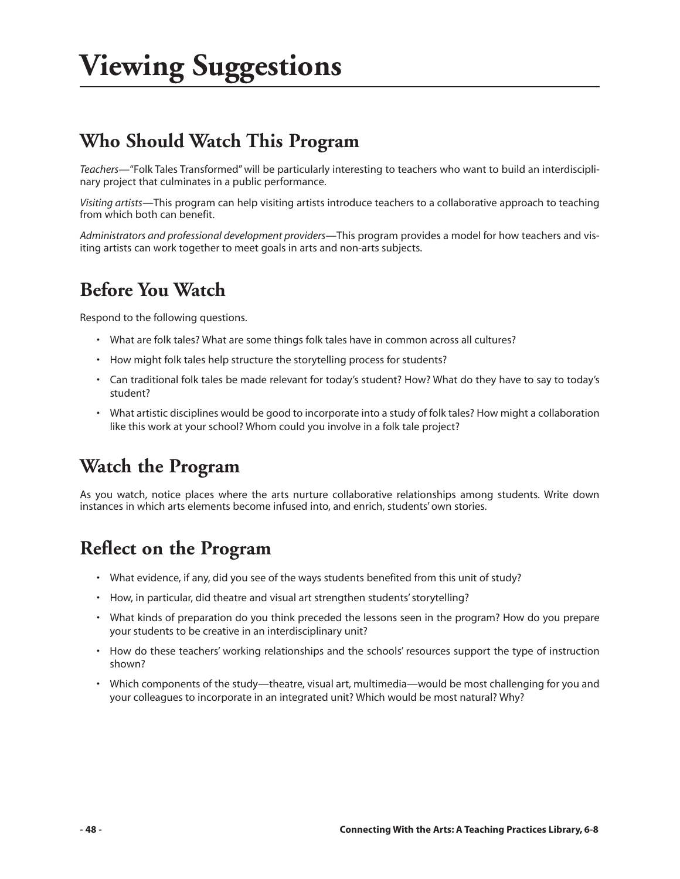# **Viewing Suggestions**

### **Who Should Watch This Program**

*Teachers—*"Folk Tales Transformed" will be particularly interesting to teachers who want to build an interdisciplinary project that culminates in a public performance.

*Visiting artists—*This program can help visiting artists introduce teachers to a collaborative approach to teaching from which both can benefit.

*Administrators and professional development providers—*This program provides a model for how teachers and visiting artists can work together to meet goals in arts and non-arts subjects.

### **Before You Watch**

Respond to the following questions.

- What are folk tales? What are some things folk tales have in common across all cultures?
- How might folk tales help structure the storytelling process for students?
- Can traditional folk tales be made relevant for today's student? How? What do they have to say to today's student?
- What artistic disciplines would be good to incorporate into a study of folk tales? How might a collaboration like this work at your school? Whom could you involve in a folk tale project?

### **Watch the Program**

As you watch, notice places where the arts nurture collaborative relationships among students. Write down instances in which arts elements become infused into, and enrich, students' own stories.

### **Reflect on the Program**

- What evidence, if any, did you see of the ways students benefited from this unit of study?
- How, in particular, did theatre and visual art strengthen students' storytelling?
- What kinds of preparation do you think preceded the lessons seen in the program? How do you prepare your students to be creative in an interdisciplinary unit?
- How do these teachers' working relationships and the schools' resources support the type of instruction shown?
- Which components of the study—theatre, visual art, multimedia—would be most challenging for you and your colleagues to incorporate in an integrated unit? Which would be most natural? Why?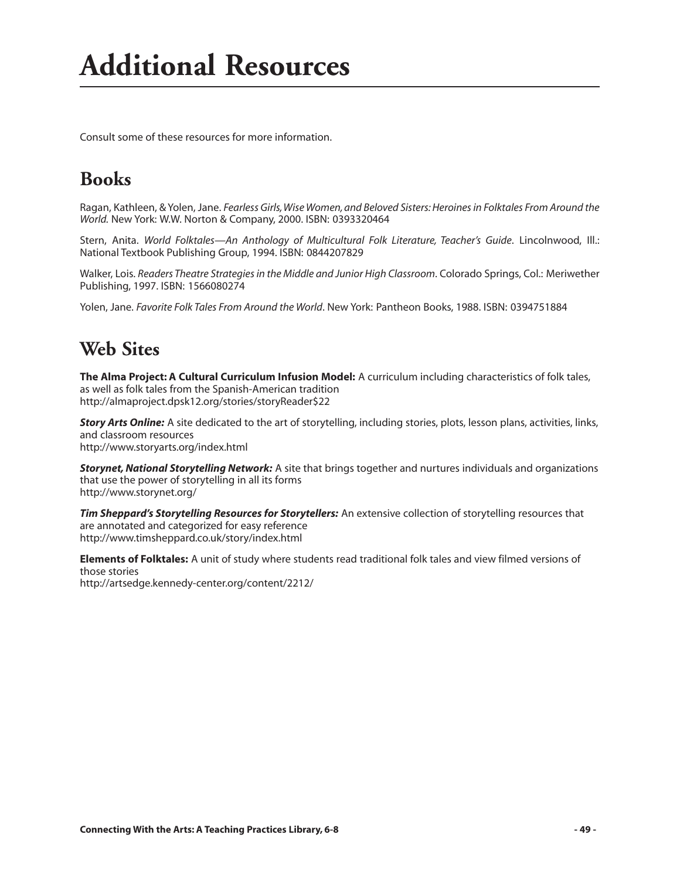Consult some of these resources for more information.

### **Books**

Ragan, Kathleen, & Yolen, Jane. *Fearless Girls, Wise Women, and Beloved Sisters: Heroines in Folktales From Around the World.* New York: W.W. Norton & Company, 2000. ISBN: 0393320464

Stern, Anita. *World Folktales—An Anthology of Multicultural Folk Literature, Teacher's Guide*. Lincolnwood, Ill.: National Textbook Publishing Group, 1994. ISBN: 0844207829

Walker, Lois. *Readers Theatre Strategies in the Middle and Junior High Classroom*. Colorado Springs, Col.: Meriwether Publishing, 1997. ISBN: 1566080274

Yolen, Jane. *Favorite Folk Tales From Around the World*. New York: Pantheon Books, 1988. ISBN: 0394751884

#### **Web Sites**

**The Alma Project: A Cultural Curriculum Infusion Model:** A curriculum including characteristics of folk tales, as well as folk tales from the Spanish-American tradition http://almaproject.dpsk12.org/stories/storyReader\$22

*Story Arts Online:* A site dedicated to the art of storytelling, including stories, plots, lesson plans, activities, links, and classroom resources http://www.storyarts.org/index.html

*Storynet, National Storytelling Network:* A site that brings together and nurtures individuals and organizations that use the power of storytelling in all its forms http://www.storynet.org/

*Tim Sheppard's Storytelling Resources for Storytellers:* An extensive collection of storytelling resources that are annotated and categorized for easy reference http://www.timsheppard.co.uk/story/index.html

**Elements of Folktales:** A unit of study where students read traditional folk tales and view filmed versions of those stories http://artsedge.kennedy-center.org/content/2212/